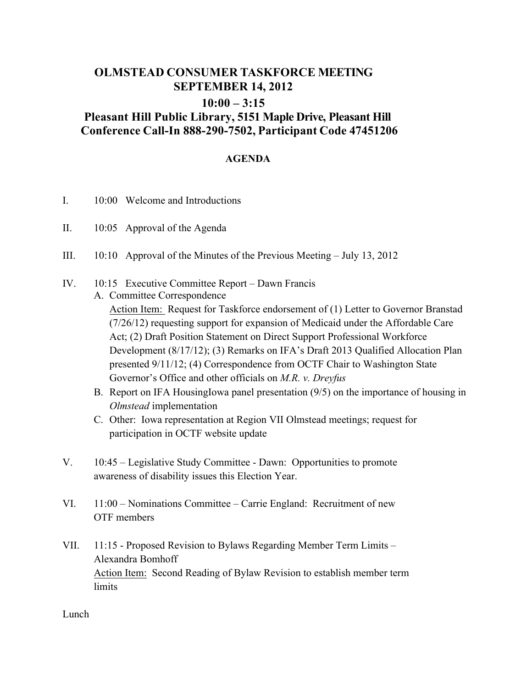## **OLMSTEAD CONSUMER TASKFORCE MEETING SEPTEMBER 14, 2012 10:00 – 3:15 Pleasant Hill Public Library, 5151 Maple Drive, Pleasant Hill Conference Call-In 888-290-7502, Participant Code 47451206**

## **AGENDA**

- I. 10:00 Welcome and Introductions
- II. 10:05 Approval of the Agenda
- III. 10:10 Approval of the Minutes of the Previous Meeting July 13, 2012
- IV. 10:15 Executive Committee Report Dawn Francis
	- A. Committee Correspondence Action Item: Request for Taskforce endorsement of (1) Letter to Governor Branstad (7/26/12) requesting support for expansion of Medicaid under the Affordable Care Act; (2) Draft Position Statement on Direct Support Professional Workforce Development (8/17/12); (3) Remarks on IFA's Draft 2013 Qualified Allocation Plan presented 9/11/12; (4) Correspondence from OCTF Chair to Washington State Governor's Office and other officials on *M.R. v. Dreyfus*
	- B. Report on IFA HousingIowa panel presentation (9/5) on the importance of housing in *Olmstead* implementation
	- C. Other: Iowa representation at Region VII Olmstead meetings; request for participation in OCTF website update
- V. 10:45 Legislative Study Committee Dawn: Opportunities to promote awareness of disability issues this Election Year.
- VI. 11:00 Nominations Committee Carrie England: Recruitment of new OTF members
- VII. 11:15 Proposed Revision to Bylaws Regarding Member Term Limits Alexandra Bomhoff Action Item: Second Reading of Bylaw Revision to establish member term limits

**Lunch**